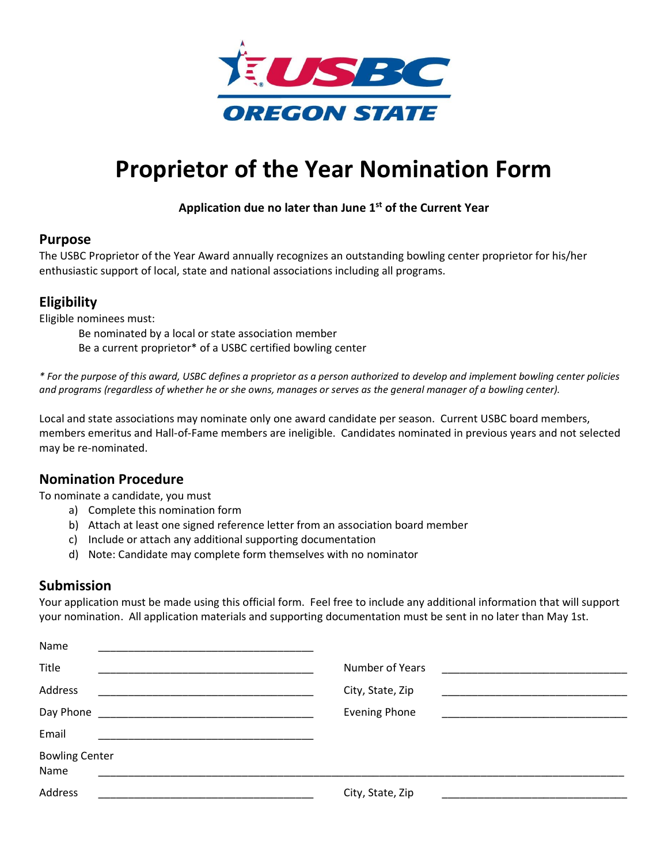

# **Proprietor of the Year Nomination Form**

## **Application due no later than June 1 st of the Current Year**

#### **Purpose**

The USBC Proprietor of the Year Award annually recognizes an outstanding bowling center proprietor for his/her enthusiastic support of local, state and national associations including all programs.

# **Eligibility**

Eligible nominees must:

Be nominated by a local or state association member Be a current proprietor\* of a USBC certified bowling center

*\* For the purpose of this award, USBC defines a proprietor as a person authorized to develop and implement bowling center policies and programs (regardless of whether he or she owns, manages or serves as the general manager of a bowling center).*

Local and state associations may nominate only one award candidate per season. Current USBC board members, members emeritus and Hall-of-Fame members are ineligible. Candidates nominated in previous years and not selected may be re-nominated.

# **Nomination Procedure**

To nominate a candidate, you must

- a) Complete this nomination form
- b) Attach at least one signed reference letter from an association board member
- c) Include or attach any additional supporting documentation
- d) Note: Candidate may complete form themselves with no nominator

## **Submission**

Your application must be made using this official form. Feel free to include any additional information that will support your nomination. All application materials and supporting documentation must be sent in no later than May 1st.

| Name                          |                      |
|-------------------------------|----------------------|
| Title                         | Number of Years      |
| Address                       | City, State, Zip     |
| Day Phone                     | <b>Evening Phone</b> |
| Email                         |                      |
| <b>Bowling Center</b><br>Name |                      |
| Address                       | City, State, Zip     |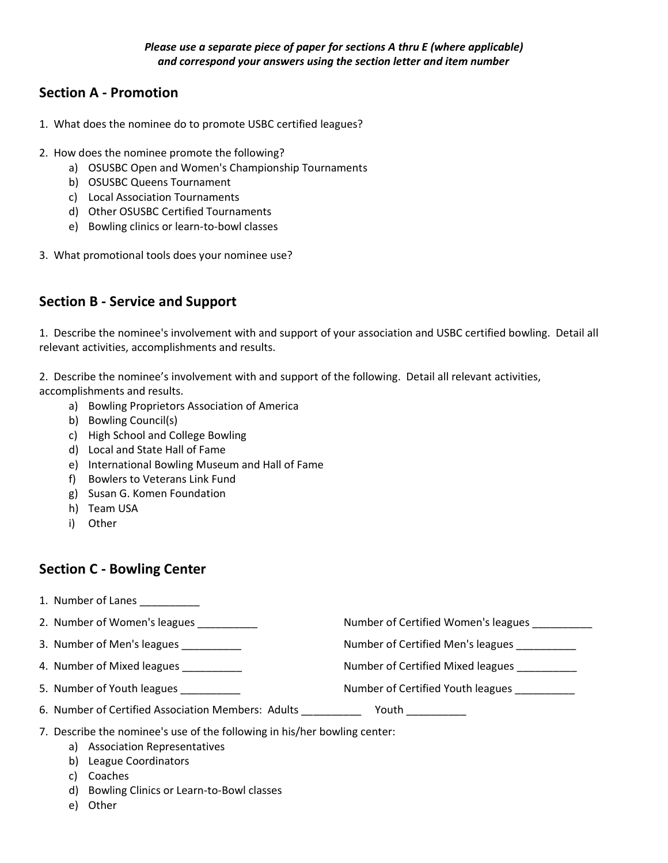# **Section A - Promotion**

- 1. What does the nominee do to promote USBC certified leagues?
- 2. How does the nominee promote the following?
	- a) OSUSBC Open and Women's Championship Tournaments
	- b) OSUSBC Queens Tournament
	- c) Local Association Tournaments
	- d) Other OSUSBC Certified Tournaments
	- e) Bowling clinics or learn-to-bowl classes
- 3. What promotional tools does your nominee use?

# **Section B - Service and Support**

1. Describe the nominee's involvement with and support of your association and USBC certified bowling. Detail all relevant activities, accomplishments and results.

2. Describe the nominee's involvement with and support of the following. Detail all relevant activities, accomplishments and results.

- a) Bowling Proprietors Association of America
- b) Bowling Council(s)
- c) High School and College Bowling
- d) Local and State Hall of Fame
- e) International Bowling Museum and Hall of Fame
- f) Bowlers to Veterans Link Fund
- g) Susan G. Komen Foundation
- h) Team USA
- i) Other

# **Section C - Bowling Center**

- 1. Number of Lanes
- 2. Number of Women's leagues \_\_\_\_\_\_\_\_\_\_\_\_ Number of Certified Women's leagues \_\_\_\_\_\_\_\_\_ 3. Number of Men's leagues \_\_\_\_\_\_\_\_\_\_ Number of Certified Men's leagues \_\_\_\_\_\_\_\_\_\_ 4. Number of Mixed leagues \_\_\_\_\_\_\_\_\_\_ Number of Certified Mixed leagues \_\_\_\_\_\_\_\_\_\_ 5. Number of Youth leagues **Number of Certified Youth leagues Number of Certified Youth leagues**
- 6. Number of Certified Association Members: Adults \_\_\_\_\_\_\_\_\_\_ Youth \_\_\_\_\_\_\_\_\_\_
- 7. Describe the nominee's use of the following in his/her bowling center:
	- a) Association Representatives
	- b) League Coordinators
	- c) Coaches
	- d) Bowling Clinics or Learn-to-Bowl classes
	- e) Other